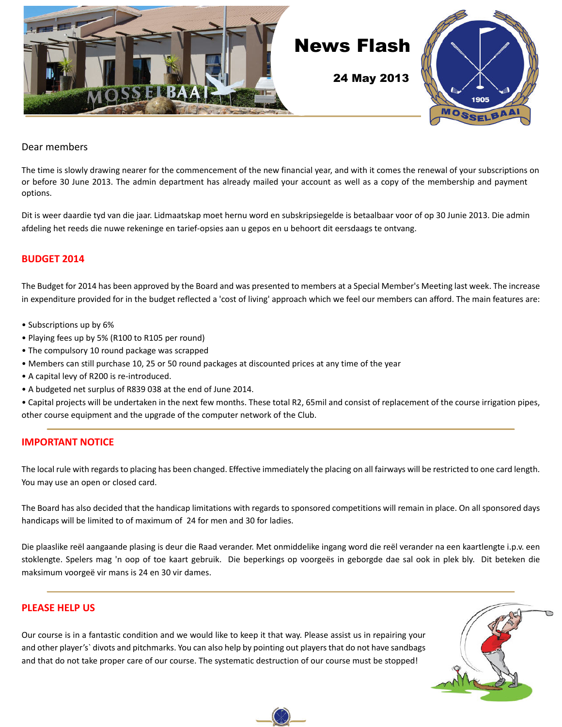

#### Dear members

The time is slowly drawing nearer for the commencement of the new financial year, and with it comes the renewal of your subscriptions on or before 30 June 2013. The admin department has already mailed your account as well as a copy of the membership and payment options.

Dit is weer daardie tyd van die jaar. Lidmaatskap moet hernu word en subskripsiegelde is betaalbaar voor of op 30 Junie 2013. Die admin afdeling het reeds die nuwe rekeninge en tarief-opsies aan u gepos en u behoort dit eersdaags te ontvang.

#### **BUDGET 2014**

The Budget for 2014 has been approved by the Board and was presented to members at a Special Member's Meeting last week. The increase in expenditure provided for in the budget reflected a 'cost of living' approach which we feel our members can afford. The main features are:

- Subscriptions up by 6%
- Playing fees up by 5% (R100 to R105 per round)
- The compulsory 10 round package was scrapped
- Members can still purchase 10, 25 or 50 round packages at discounted prices at any time of the year
- A capital levy of R200 is re-introduced.
- A budgeted net surplus of R839 038 at the end of June 2014.

• Capital projects will be undertaken in the next few months. These total R2, 65mil and consist of replacement of the course irrigation pipes, other course equipment and the upgrade of the computer network of the Club.

#### **IMPORTANT NOTICE**

The local rule with regards to placing has been changed. Effective immediately the placing on all fairways will be restricted to one card length. You may use an open or closed card.

The Board has also decided that the handicap limitations with regards to sponsored competitions will remain in place. On all sponsored days handicaps will be limited to of maximum of 24 for men and 30 for ladies.

Die plaaslike reël aangaande plasing is deur die Raad verander. Met onmiddelike ingang word die reël verander na een kaartlengte i.p.v. een stoklengte. Spelers mag 'n oop of toe kaart gebruik. Die beperkings op voorgeës in geborgde dae sal ook in plek bly. Dit beteken die maksimum voorgeë vir mans is 24 en 30 vir dames.

#### **PLEASE HELP US**

Our course is in a fantastic condition and we would like to keep it that way. Please assist us in repairing your and other player's` divots and pitchmarks. You can also help by pointing out players that do not have sandbags and that do not take proper care of our course. The systematic destruction of our course must be stopped!

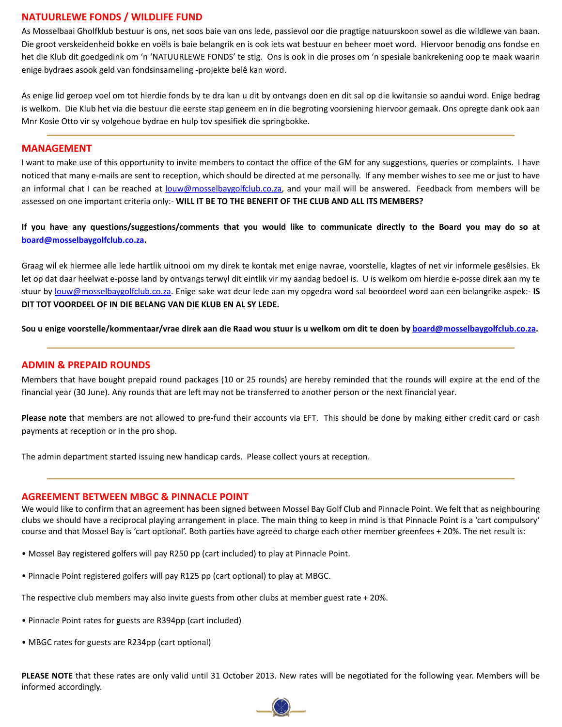#### **NATUURLEWE FONDS / WILDLIFE FUND**

As Mosselbaai Gholfklub bestuur is ons, net soos baie van ons lede, passievol oor die pragtige natuurskoon sowel as die wildlewe van baan. Die groot verskeidenheid bokke en voëls is baie belangrik en is ook iets wat bestuur en beheer moet word. Hiervoor benodig ons fondse en het die Klub dit goedgedink om 'n 'NATUURLEWE FONDS' te stig. Ons is ook in die proses om 'n spesiale bankrekening oop te maak waarin enige bydraes asook geld van fondsinsameling -projekte belê kan word.

As enige lid geroep voel om tot hierdie fonds by te dra kan u dit by ontvangs doen en dit sal op die kwitansie so aandui word. Enige bedrag is welkom. Die Klub het via die bestuur die eerste stap geneem en in die begroting voorsiening hiervoor gemaak. Ons opregte dank ook aan Mnr Kosie Otto vir sy volgehoue bydrae en hulp tov spesifiek die springbokke.

#### **MANAGEMENT**

I want to make use of this opportunity to invite members to contact the office of the GM for any suggestions, queries or complaints. I have noticed that many e-mails are sent to reception, which should be directed at me personally. If any member wishes to see me or just to have an informal chat I can be reached at louw@mosselbaygolfclub.co.za, and your mail will be answered. Feedback from members will be assessed on one important criteria only:- **WILL IT BE TO THE BENEFIT OF THE CLUB AND ALL ITS MEMBERS?**

**If you have any questions/suggestions/comments that you would like to communicate directly to the Board you may do so at board@mosselbaygolfclub.co.za.**

Graag wil ek hiermee alle lede hartlik uitnooi om my direk te kontak met enige navrae, voorstelle, klagtes of net vir informele gesêlsies. Ek let op dat daar heelwat e-posse land by ontvangs terwyl dit eintlik vir my aandag bedoel is. U is welkom om hierdie e-posse direk aan my te stuur by louw@mosselbaygolfclub.co.za. Enige sake wat deur lede aan my opgedra word sal beoordeel word aan een belangrike aspek:- **IS DIT TOT VOORDEEL OF IN DIE BELANG VAN DIE KLUB EN AL SY LEDE.**

**Sou u enige voorstelle/kommentaar/vrae direk aan die Raad wou stuur is u welkom om dit te doen by board@mosselbaygolfclub.co.za.**

#### **ADMIN & PREPAID ROUNDS**

Members that have bought prepaid round packages (10 or 25 rounds) are hereby reminded that the rounds will expire at the end of the financial year (30 June). Any rounds that are left may not be transferred to another person or the next financial year.

**Please note** that members are not allowed to pre-fund their accounts via EFT. This should be done by making either credit card or cash payments at reception or in the pro shop.

The admin department started issuing new handicap cards. Please collect yours at reception.

#### **AGREEMENT BETWEEN MBGC & PINNACLE POINT**

We would like to confirm that an agreement has been signed between Mossel Bay Golf Club and Pinnacle Point. We felt that as neighbouring clubs we should have a reciprocal playing arrangement in place. The main thing to keep in mind is that Pinnacle Point is a 'cart compulsory' course and that Mossel Bay is 'cart optional'. Both parties have agreed to charge each other member greenfees + 20%. The net result is:

- Mossel Bay registered golfers will pay R250 pp (cart included) to play at Pinnacle Point.
- Pinnacle Point registered golfers will pay R125 pp (cart optional) to play at MBGC.

The respective club members may also invite guests from other clubs at member guest rate + 20%.

- Pinnacle Point rates for guests are R394pp (cart included)
- MBGC rates for guests are R234pp (cart optional)

**PLEASE NOTE** that these rates are only valid until 31 October 2013. New rates will be negotiated for the following year. Members will be informed accordingly.

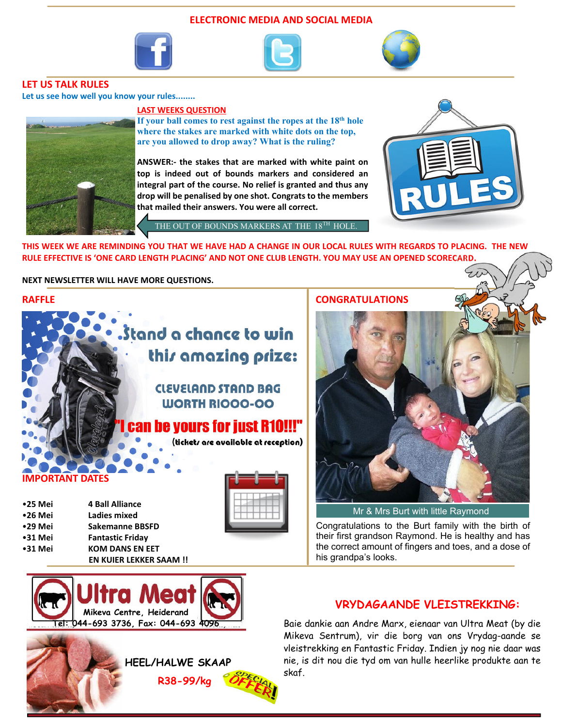#### **ELECTRONIC MEDIA AND SOCIAL MEDIA**







#### **LET US TALK RULES**

**Let us see how well you know your rules........**

#### **LAST WEEKS QUESTION**



**If your ball comes to rest against the ropes at the 18th hole where the stakes are marked with white dots on the top, are you allowed to drop away? What is the ruling?**

**ANSWER:- the stakes that are marked with white paint on top is indeed out of bounds markers and considered an integral part of the course. No relief is granted and thus any drop will be penalised by one shot. Congrats to the members that mailed their answers. You were all correct.**

THE OUT OF BOUNDS MARKERS AT THE  $18^\mathrm{TH}$  HOLE



**THIS WEEK WE ARE REMINDING YOU THAT WE HAVE HAD A CHANGE IN OUR LOCAL RULES WITH REGARDS TO PLACING. THE NEW RULE EFFECTIVE IS 'ONE CARD LENGTH PLACING' AND NOT ONE CLUB LENGTH. YOU MAY USE AN OPENED SCORECARD.**

#### **NEXT NEWSLETTER WILL HAVE MORE QUESTIONS.**

#### **RAFFLE**



### **CLEVELAND STAND BAG WORTH RIOOO-OO**

## n be yours for just R10!!!"

(tickets are available at reception)

#### *<u>ORTANT DATES</u>*

| $•25$ Mei | <b>4 Ball Alliance</b>       |
|-----------|------------------------------|
| $•26$ Mei | Ladies mixed                 |
| $•29$ Mei | Sakemanne BBSFD              |
| $•31$ Mei | <b>Fantastic Friday</b>      |
| $•31$ Mei | <b>KOM DANS EN EET</b>       |
|           | <b>EN KUIER LEKKER SAAM!</b> |





## **VRYDAGAANDE VLEISTREKKING:** Baie dankie aan Andre Marx, eienaar van Ultra Meat (by die

Mikeva Sentrum), vir die borg van ons Vrydag-aande se vleistrekking en Fantastic Friday. Indien jy nog nie daar was nie, is dit nou die tyd om van hulle heerlike produkte aan te skaf.

#### **CONGRATULATIONS**



Mr & Mrs Burt with little Raymond

Congratulations to the Burt family with the birth of their first grandson Raymond. He is healthy and has the correct amount of fingers and toes, and a dose of his grandpa's looks.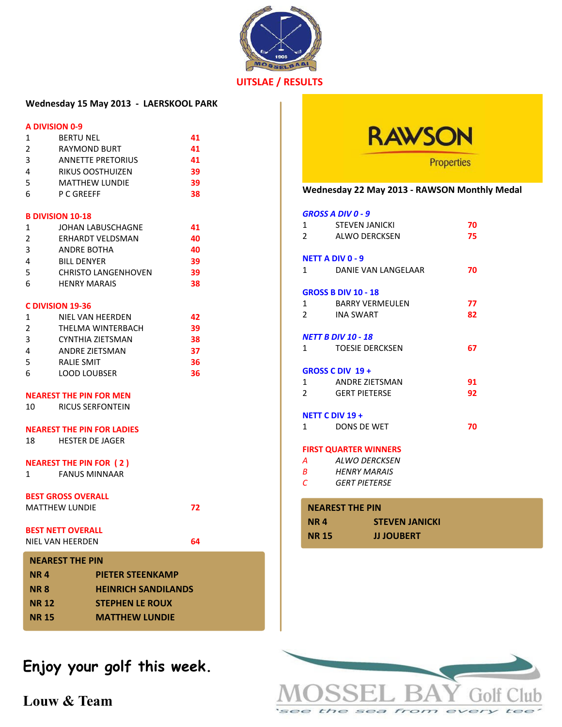

#### **UITSLAE / RESULTS**

### **Wednesday 15 May 2013 - LAERSKOOL PARK**

#### **A DIVISION 0-9**

| 1              | <b>BERTU NEL</b>         | 41 |
|----------------|--------------------------|----|
| $\overline{2}$ | <b>RAYMOND BURT</b>      | 41 |
| 3              | <b>ANNETTE PRETORIUS</b> | 41 |
| 4              | RIKUS OOSTHUIZEN         | 39 |
| 5              | <b>MATTHEW LUNDIE</b>    | 39 |
| 6              | P C GREEFF               | 38 |
|                |                          |    |

#### **B DIVISION 10-18**

| 1             | JOHAN LABUSCHAGNE          | 41 |
|---------------|----------------------------|----|
| $\mathcal{L}$ | ERHARDT VELDSMAN           | 40 |
| 3             | ANDRE BOTHA                | 40 |
|               | <b>BILL DENYER</b>         | 39 |
| -5            | <b>CHRISTO LANGENHOVEN</b> | 39 |
| 6             | <b>HENRY MARAIS</b>        | 38 |

#### **C DIVISION 19-36**

| 1             | NIEL VAN HEERDEN    | 42 |
|---------------|---------------------|----|
| $\mathcal{L}$ | THELMA WINTERBACH   | 39 |
| ्द            | CYNTHIA ZIETSMAN    | 38 |
|               | ANDRE ZIETSMAN      | 37 |
| -5            | RALIE SMIT          | 36 |
| 6             | <b>LOOD LOUBSER</b> | 36 |

#### **NEAREST THE PIN FOR MEN**

|  | 10 | <b>RICUS SERFONTEIN</b> |  |
|--|----|-------------------------|--|
|--|----|-------------------------|--|

#### **NEAREST THE PIN FOR LADIES**

18 HESTER DE JAGER

#### **NEAREST THE PIN FOR ( 2 )**

1 FANUS MINNAAR

#### **BEST GROSS OVERALL**

MATTHEW LUNDIE **72**

**BEST NETT OVERALL**

NIEL VAN HEERDEN **64**

| <b>NEAREST THE PIN</b> |                            |  |  |
|------------------------|----------------------------|--|--|
| <b>NR4</b>             | <b>PIETER STEENKAMP</b>    |  |  |
| <b>NR8</b>             | <b>HEINRICH SANDILANDS</b> |  |  |
| <b>NR 12</b>           | <b>STEPHEN LE ROUX</b>     |  |  |
| <b>NR 15</b>           | <b>MATTHEW LUNDIE</b>      |  |  |

## **Enjoy your golf this week.**

**Louw & Team**



#### **Wednesday 22 May 2013 - RAWSON Monthly Medal**

#### *GROSS A DIV 0 - 9*

| 1                                      | <b>STEVEN JANICKI</b>                                                                                                                       |                       | 70             |
|----------------------------------------|---------------------------------------------------------------------------------------------------------------------------------------------|-----------------------|----------------|
| $2^{\circ}$                            | ALWO DERCKSEN                                                                                                                               |                       | 75             |
| $\mathbf{1}$<br>$\overline{2}$         | <b>NETT A DIV 0 - 9</b><br>DANIE VAN LANGELAAR<br><b>GROSS B DIV 10 - 18</b><br>1 BARRY VERMEULEN<br>INA SWART<br><b>NETT B DIV 10 - 18</b> |                       | 70<br>77<br>82 |
| $1 \quad$                              | <b>TOESIE DERCKSEN</b>                                                                                                                      |                       | 67             |
| $\mathbf{1}$<br>$\mathbf{2}$<br>1      | <b>GROSS C DIV 19 +</b><br>ANDRE ZIETSMAN<br><b>GERT PIETERSE</b><br>NETT C DIV 19 +<br><b>DONS DE WET</b>                                  |                       | 91<br>92<br>70 |
| $\overline{A}$ and $\overline{A}$<br>C | <b>FIRST QUARTER WINNERS</b><br>ALWO DERCKSEN<br><b>B</b> HENRY MARAIS<br>GFRT PIFTFRSF                                                     |                       |                |
| <b>NEAREST THE PIN</b>                 |                                                                                                                                             |                       |                |
| <b>NR4</b>                             |                                                                                                                                             | <b>STEVEN JANICKI</b> |                |
| <b>NR15</b>                            |                                                                                                                                             | <b>JJ JOUBERT</b>     |                |